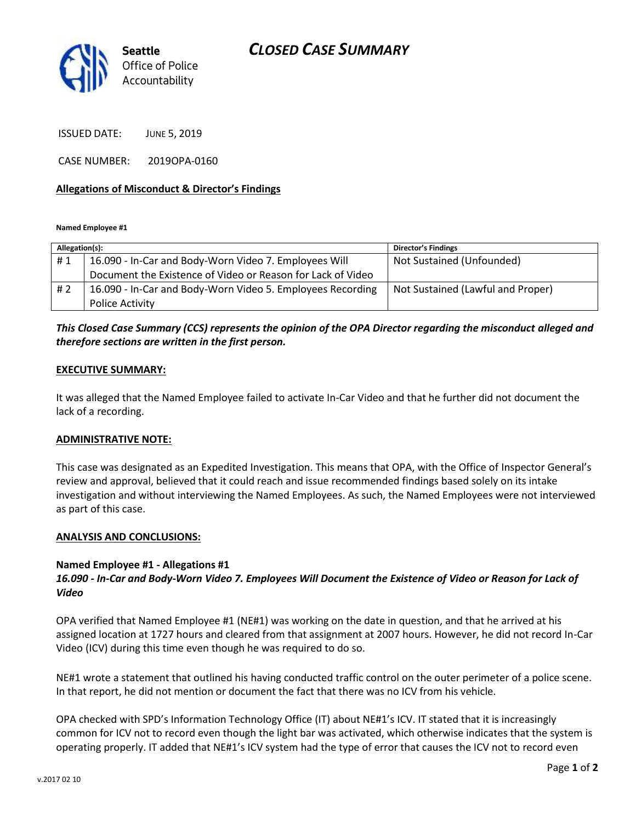

ISSUED DATE: JUNE 5, 2019

CASE NUMBER: 2019OPA-0160

## **Allegations of Misconduct & Director's Findings**

**Named Employee #1**

| Allegation(s): |                                                             | <b>Director's Findings</b>        |
|----------------|-------------------------------------------------------------|-----------------------------------|
| #1             | 16.090 - In-Car and Body-Worn Video 7. Employees Will       | Not Sustained (Unfounded)         |
|                | Document the Existence of Video or Reason for Lack of Video |                                   |
| # 2            | 16.090 - In-Car and Body-Worn Video 5. Employees Recording  | Not Sustained (Lawful and Proper) |
|                | <b>Police Activity</b>                                      |                                   |

# *This Closed Case Summary (CCS) represents the opinion of the OPA Director regarding the misconduct alleged and therefore sections are written in the first person.*

### **EXECUTIVE SUMMARY:**

It was alleged that the Named Employee failed to activate In-Car Video and that he further did not document the lack of a recording.

#### **ADMINISTRATIVE NOTE:**

This case was designated as an Expedited Investigation. This means that OPA, with the Office of Inspector General's review and approval, believed that it could reach and issue recommended findings based solely on its intake investigation and without interviewing the Named Employees. As such, the Named Employees were not interviewed as part of this case.

#### **ANALYSIS AND CONCLUSIONS:**

#### **Named Employee #1 - Allegations #1**

# *16.090 - In-Car and Body-Worn Video 7. Employees Will Document the Existence of Video or Reason for Lack of Video*

OPA verified that Named Employee #1 (NE#1) was working on the date in question, and that he arrived at his assigned location at 1727 hours and cleared from that assignment at 2007 hours. However, he did not record In-Car Video (ICV) during this time even though he was required to do so.

NE#1 wrote a statement that outlined his having conducted traffic control on the outer perimeter of a police scene. In that report, he did not mention or document the fact that there was no ICV from his vehicle.

OPA checked with SPD's Information Technology Office (IT) about NE#1's ICV. IT stated that it is increasingly common for ICV not to record even though the light bar was activated, which otherwise indicates that the system is operating properly. IT added that NE#1's ICV system had the type of error that causes the ICV not to record even